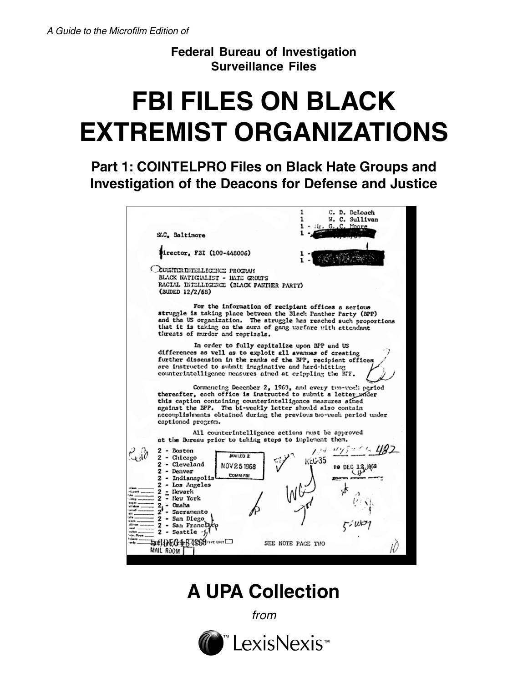**Federal Bureau of Investigation Surveillance Files**

# **FBI FILES ON BLACK EXTREMIST ORGANIZATIONS**

**Part 1: COINTELPRO Files on Black Hate Groups and Investigation of the Deacons for Defense and Justice**

|                                                                                                        |                                                                                                                                                                                                                                                                                       |                     | ı                                                  | C. D. DeLoach                                          |  |
|--------------------------------------------------------------------------------------------------------|---------------------------------------------------------------------------------------------------------------------------------------------------------------------------------------------------------------------------------------------------------------------------------------|---------------------|----------------------------------------------------|--------------------------------------------------------|--|
|                                                                                                        |                                                                                                                                                                                                                                                                                       |                     | 1                                                  | W. C. Sullivan                                         |  |
|                                                                                                        |                                                                                                                                                                                                                                                                                       |                     |                                                    | ifr. G. C. Moore                                       |  |
|                                                                                                        | SAC, Baltimore                                                                                                                                                                                                                                                                        |                     |                                                    |                                                        |  |
|                                                                                                        |                                                                                                                                                                                                                                                                                       |                     |                                                    |                                                        |  |
|                                                                                                        | Mirector, FBI (100-448006)                                                                                                                                                                                                                                                            |                     |                                                    |                                                        |  |
|                                                                                                        | CCURTER DITELLIGENCE PROGRAM                                                                                                                                                                                                                                                          |                     |                                                    |                                                        |  |
|                                                                                                        | BLACK NATIONALIST - HATE CROUPS                                                                                                                                                                                                                                                       |                     |                                                    |                                                        |  |
|                                                                                                        | RACIAL DITELLIGENCE (BLACK PANTHER PARTY)<br>(BUDED 12/2/68)                                                                                                                                                                                                                          |                     |                                                    |                                                        |  |
|                                                                                                        | struggle is taking place between the Black Panther Party (BPP)<br>and the US organization. The struggle has reached such proportions<br>that it is taking on the aura of gang warfare with attendant<br>threats of murder and reprisals.                                              |                     | For the information of recipient offices a serious |                                                        |  |
|                                                                                                        | differences as well as to exploit all avenues of creating<br>further dissension in the ranks of the BPP, recipient offices<br>are instructed to submit imaginative and hard-hitting<br>counterintelligence neasures aimed at crippling the BFF.                                       |                     | In order to fully capitalize upon BPP and US       |                                                        |  |
|                                                                                                        | thereafter, each office is instructed to submit a letter under<br>this caption containing counterintelligence measures aimed<br>against the BPP. The bi-weekly letter should also contain<br>accomplisitents obtained during the previous two-week period under<br>captioned program. |                     |                                                    | Commencing December 2, 1963, and every two-week period |  |
|                                                                                                        |                                                                                                                                                                                                                                                                                       |                     | All counterintelligence actions must be approved   |                                                        |  |
|                                                                                                        | at the Bureau prior to taking steps to implement them.                                                                                                                                                                                                                                |                     |                                                    |                                                        |  |
|                                                                                                        | $2 -$ Boston                                                                                                                                                                                                                                                                          |                     |                                                    |                                                        |  |
|                                                                                                        | 2 - Chicago                                                                                                                                                                                                                                                                           | MAILED <sub>2</sub> |                                                    |                                                        |  |
|                                                                                                        | <b>2 - Cleveland</b>                                                                                                                                                                                                                                                                  |                     | 35ن\)                                              | 19 DEC                                                 |  |
|                                                                                                        | 2 - Denver                                                                                                                                                                                                                                                                            | NOV 25 1968         |                                                    |                                                        |  |
|                                                                                                        | <b>2 - Indianapolis</b>                                                                                                                                                                                                                                                               | <b>COMM-FBI</b>     |                                                    |                                                        |  |
|                                                                                                        | 2 - Los Angeles                                                                                                                                                                                                                                                                       |                     |                                                    |                                                        |  |
|                                                                                                        | 2 - Newark                                                                                                                                                                                                                                                                            |                     |                                                    |                                                        |  |
|                                                                                                        | 2 - Nev York<br>2,- Omaha                                                                                                                                                                                                                                                             |                     |                                                    |                                                        |  |
|                                                                                                        | 2<br>- Sacramento                                                                                                                                                                                                                                                                     |                     |                                                    |                                                        |  |
|                                                                                                        | <b>2 - San Diego</b>                                                                                                                                                                                                                                                                  |                     |                                                    |                                                        |  |
|                                                                                                        | 2 - San FrancD <sub>3</sub>                                                                                                                                                                                                                                                           |                     |                                                    |                                                        |  |
| -Loach<br><b>I</b> shop<br>alfabu<br>ate.<br>iete<br>ic sen<br>ditions<br>evel.<br>roller<br>ele, Room | - Seattle                                                                                                                                                                                                                                                                             |                     |                                                    |                                                        |  |
| lolmen.                                                                                                | FULL LANGE OF A SAS STYPE UNIT                                                                                                                                                                                                                                                        |                     | SEE NOTE PAGE THO                                  |                                                        |  |

## **A UPA Collection**

from

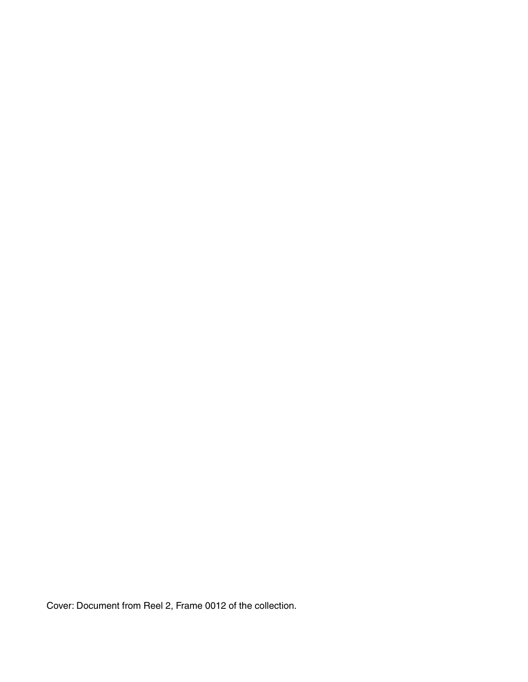Cover: Document from Reel 2, Frame 0012 of the collection.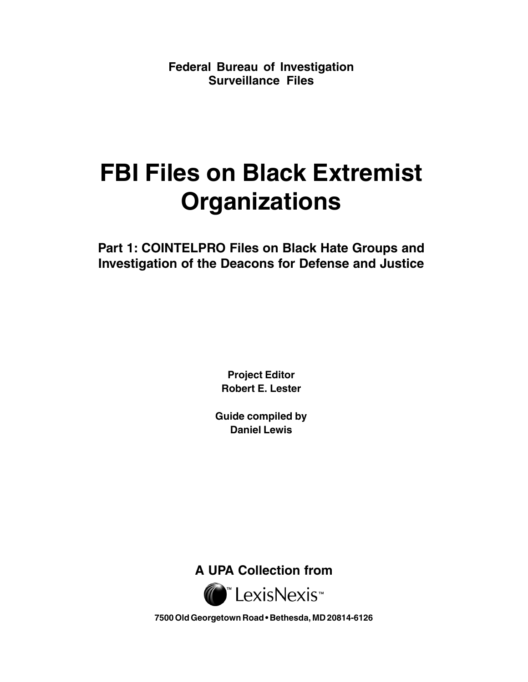**Federal Bureau of Investigation Surveillance Files**

# **FBI Files on Black Extremist Organizations**

**Part 1: COINTELPRO Files on Black Hate Groups and Investigation of the Deacons for Defense and Justice**

> **Project Editor Robert E. Lester**

**Guide compiled by Daniel Lewis**

**A UPA Collection from**



**7500 Old Georgetown Road • Bethesda, MD 20814-6126**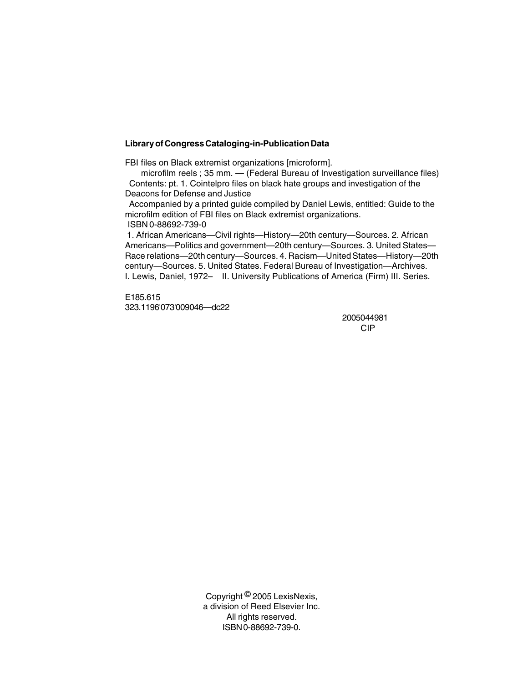#### **Library of Congress Cataloging-in-Publication Data**

FBI files on Black extremist organizations [microform].

 microfilm reels ; 35 mm. — (Federal Bureau of Investigation surveillance files) Contents: pt. 1. Cointelpro files on black hate groups and investigation of the Deacons for Defense and Justice

 Accompanied by a printed guide compiled by Daniel Lewis, entitled: Guide to the microfilm edition of FBI files on Black extremist organizations.

ISBN 0-88692-739-0

 1. African Americans—Civil rights—History—20th century—Sources. 2. African Americans—Politics and government—20th century—Sources. 3. United States— Race relations—20th century—Sources. 4. Racism—United States—History—20th century—Sources. 5. United States. Federal Bureau of Investigation—Archives. I. Lewis, Daniel, 1972– II. University Publications of America (Firm) III. Series.

E185.615 323.1196'073'009046—dc22

2005044981 CIP

Copyright © 2005 LexisNexis, a division of Reed Elsevier Inc. All rights reserved. ISBN 0-88692-739-0.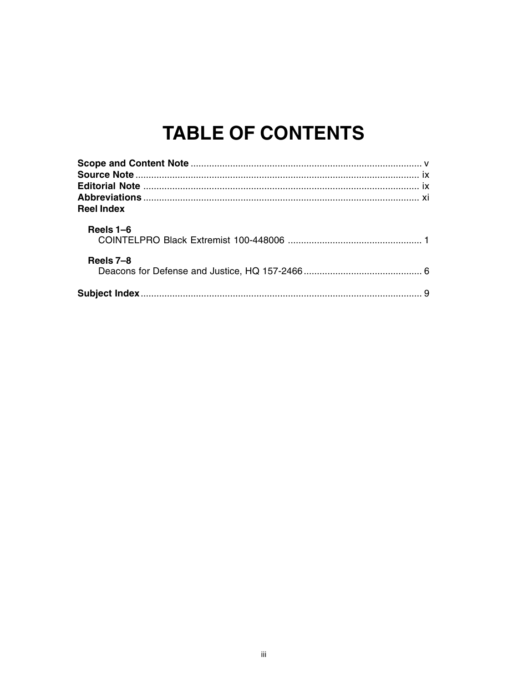## **TABLE OF CONTENTS**

|                   | Χİ |  |
|-------------------|----|--|
| <b>Reel Index</b> |    |  |
| Reels 1–6         |    |  |
| Reels 7-8         |    |  |
|                   |    |  |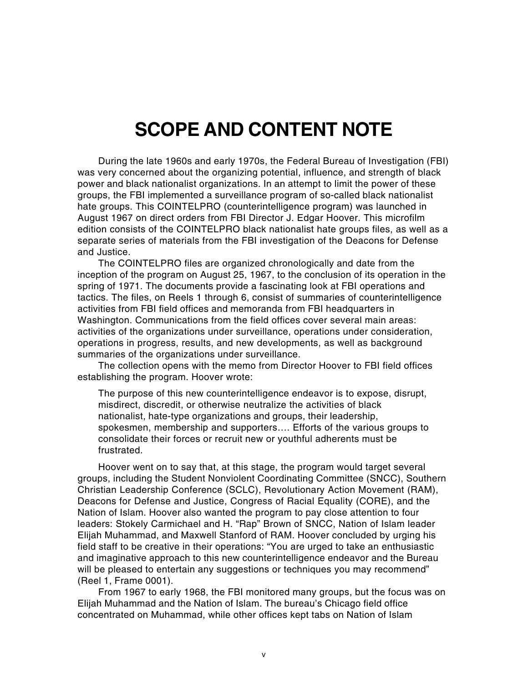## **SCOPE AND CONTENT NOTE**

During the late 1960s and early 1970s, the Federal Bureau of Investigation (FBI) was very concerned about the organizing potential, influence, and strength of black power and black nationalist organizations. In an attempt to limit the power of these groups, the FBI implemented a surveillance program of so-called black nationalist hate groups. This COINTELPRO (counterintelligence program) was launched in August 1967 on direct orders from FBI Director J. Edgar Hoover. This microfilm edition consists of the COINTELPRO black nationalist hate groups files, as well as a separate series of materials from the FBI investigation of the Deacons for Defense and Justice.

The COINTELPRO files are organized chronologically and date from the inception of the program on August 25, 1967, to the conclusion of its operation in the spring of 1971. The documents provide a fascinating look at FBI operations and tactics. The files, on Reels 1 through 6, consist of summaries of counterintelligence activities from FBI field offices and memoranda from FBI headquarters in Washington. Communications from the field offices cover several main areas: activities of the organizations under surveillance, operations under consideration, operations in progress, results, and new developments, as well as background summaries of the organizations under surveillance.

The collection opens with the memo from Director Hoover to FBI field offices establishing the program. Hoover wrote:

The purpose of this new counterintelligence endeavor is to expose, disrupt, misdirect, discredit, or otherwise neutralize the activities of black nationalist, hate-type organizations and groups, their leadership, spokesmen, membership and supporters…. Efforts of the various groups to consolidate their forces or recruit new or youthful adherents must be frustrated.

Hoover went on to say that, at this stage, the program would target several groups, including the Student Nonviolent Coordinating Committee (SNCC), Southern Christian Leadership Conference (SCLC), Revolutionary Action Movement (RAM), Deacons for Defense and Justice, Congress of Racial Equality (CORE), and the Nation of Islam. Hoover also wanted the program to pay close attention to four leaders: Stokely Carmichael and H. "Rap" Brown of SNCC, Nation of Islam leader Elijah Muhammad, and Maxwell Stanford of RAM. Hoover concluded by urging his field staff to be creative in their operations: "You are urged to take an enthusiastic and imaginative approach to this new counterintelligence endeavor and the Bureau will be pleased to entertain any suggestions or techniques you may recommend" (Reel 1, Frame 0001).

From 1967 to early 1968, the FBI monitored many groups, but the focus was on Elijah Muhammad and the Nation of Islam. The bureau's Chicago field office concentrated on Muhammad, while other offices kept tabs on Nation of Islam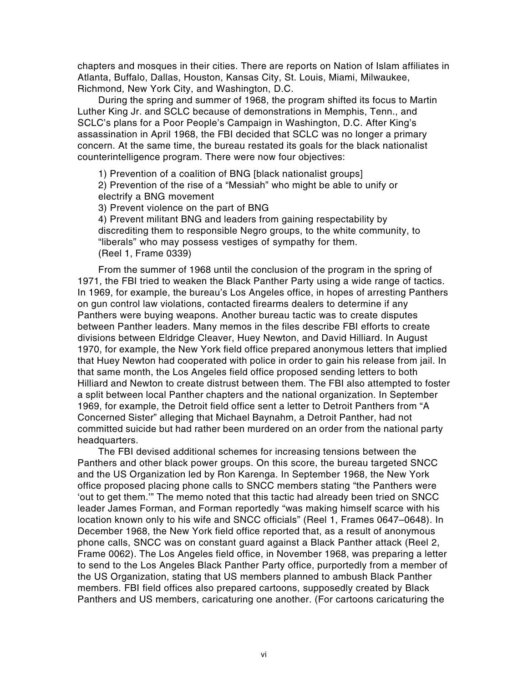chapters and mosques in their cities. There are reports on Nation of Islam affiliates in Atlanta, Buffalo, Dallas, Houston, Kansas City, St. Louis, Miami, Milwaukee, Richmond, New York City, and Washington, D.C.

During the spring and summer of 1968, the program shifted its focus to Martin Luther King Jr. and SCLC because of demonstrations in Memphis, Tenn., and SCLC's plans for a Poor People's Campaign in Washington, D.C. After King's assassination in April 1968, the FBI decided that SCLC was no longer a primary concern. At the same time, the bureau restated its goals for the black nationalist counterintelligence program. There were now four objectives:

1) Prevention of a coalition of BNG [black nationalist groups]

2) Prevention of the rise of a "Messiah" who might be able to unify or electrify a BNG movement

3) Prevent violence on the part of BNG

4) Prevent militant BNG and leaders from gaining respectability by discrediting them to responsible Negro groups, to the white community, to "liberals" who may possess vestiges of sympathy for them. (Reel 1, Frame 0339)

From the summer of 1968 until the conclusion of the program in the spring of 1971, the FBI tried to weaken the Black Panther Party using a wide range of tactics. In 1969, for example, the bureau's Los Angeles office, in hopes of arresting Panthers on gun control law violations, contacted firearms dealers to determine if any Panthers were buying weapons. Another bureau tactic was to create disputes between Panther leaders. Many memos in the files describe FBI efforts to create divisions between Eldridge Cleaver, Huey Newton, and David Hilliard. In August 1970, for example, the New York field office prepared anonymous letters that implied that Huey Newton had cooperated with police in order to gain his release from jail. In that same month, the Los Angeles field office proposed sending letters to both Hilliard and Newton to create distrust between them. The FBI also attempted to foster a split between local Panther chapters and the national organization. In September 1969, for example, the Detroit field office sent a letter to Detroit Panthers from "A Concerned Sister" alleging that Michael Baynahm, a Detroit Panther, had not committed suicide but had rather been murdered on an order from the national party headquarters.

The FBI devised additional schemes for increasing tensions between the Panthers and other black power groups. On this score, the bureau targeted SNCC and the US Organization led by Ron Karenga. In September 1968, the New York office proposed placing phone calls to SNCC members stating "the Panthers were 'out to get them.'" The memo noted that this tactic had already been tried on SNCC leader James Forman, and Forman reportedly "was making himself scarce with his location known only to his wife and SNCC officials" (Reel 1, Frames 0647–0648). In December 1968, the New York field office reported that, as a result of anonymous phone calls, SNCC was on constant guard against a Black Panther attack (Reel 2, Frame 0062). The Los Angeles field office, in November 1968, was preparing a letter to send to the Los Angeles Black Panther Party office, purportedly from a member of the US Organization, stating that US members planned to ambush Black Panther members. FBI field offices also prepared cartoons, supposedly created by Black Panthers and US members, caricaturing one another. (For cartoons caricaturing the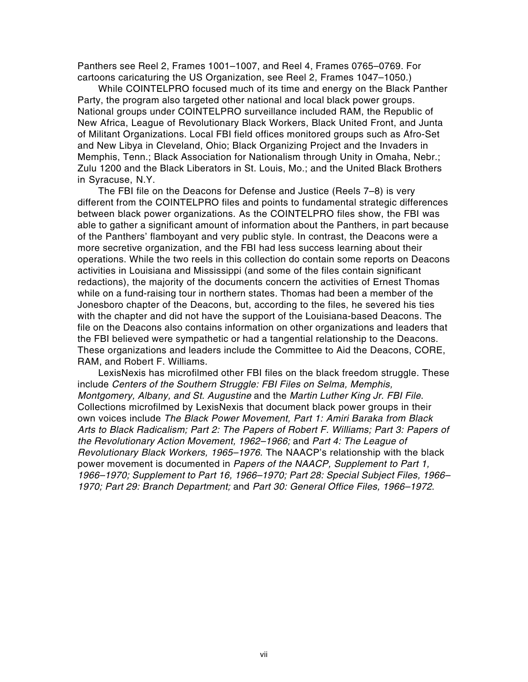Panthers see Reel 2, Frames 1001–1007, and Reel 4, Frames 0765–0769. For cartoons caricaturing the US Organization, see Reel 2, Frames 1047–1050.)

While COINTELPRO focused much of its time and energy on the Black Panther Party, the program also targeted other national and local black power groups. National groups under COINTELPRO surveillance included RAM, the Republic of New Africa, League of Revolutionary Black Workers, Black United Front, and Junta of Militant Organizations. Local FBI field offices monitored groups such as Afro-Set and New Libya in Cleveland, Ohio; Black Organizing Project and the Invaders in Memphis, Tenn.; Black Association for Nationalism through Unity in Omaha, Nebr.; Zulu 1200 and the Black Liberators in St. Louis, Mo.; and the United Black Brothers in Syracuse, N.Y.

The FBI file on the Deacons for Defense and Justice (Reels 7–8) is very different from the COINTELPRO files and points to fundamental strategic differences between black power organizations. As the COINTELPRO files show, the FBI was able to gather a significant amount of information about the Panthers, in part because of the Panthers' flamboyant and very public style. In contrast, the Deacons were a more secretive organization, and the FBI had less success learning about their operations. While the two reels in this collection do contain some reports on Deacons activities in Louisiana and Mississippi (and some of the files contain significant redactions), the majority of the documents concern the activities of Ernest Thomas while on a fund-raising tour in northern states. Thomas had been a member of the Jonesboro chapter of the Deacons, but, according to the files, he severed his ties with the chapter and did not have the support of the Louisiana-based Deacons. The file on the Deacons also contains information on other organizations and leaders that the FBI believed were sympathetic or had a tangential relationship to the Deacons. These organizations and leaders include the Committee to Aid the Deacons, CORE, RAM, and Robert F. Williams.

LexisNexis has microfilmed other FBI files on the black freedom struggle. These include Centers of the Southern Struggle: FBI Files on Selma, Memphis, Montgomery, Albany, and St. Augustine and the Martin Luther King Jr. FBI File. Collections microfilmed by LexisNexis that document black power groups in their own voices include The Black Power Movement, Part 1: Amiri Baraka from Black Arts to Black Radicalism; Part 2: The Papers of Robert F. Williams; Part 3: Papers of the Revolutionary Action Movement, 1962–1966; and Part 4: The League of Revolutionary Black Workers, 1965–1976. The NAACP's relationship with the black power movement is documented in Papers of the NAACP, Supplement to Part 1, 1966–1970; Supplement to Part 16, 1966–1970; Part 28: Special Subject Files, 1966– 1970; Part 29: Branch Department; and Part 30: General Office Files, 1966–1972.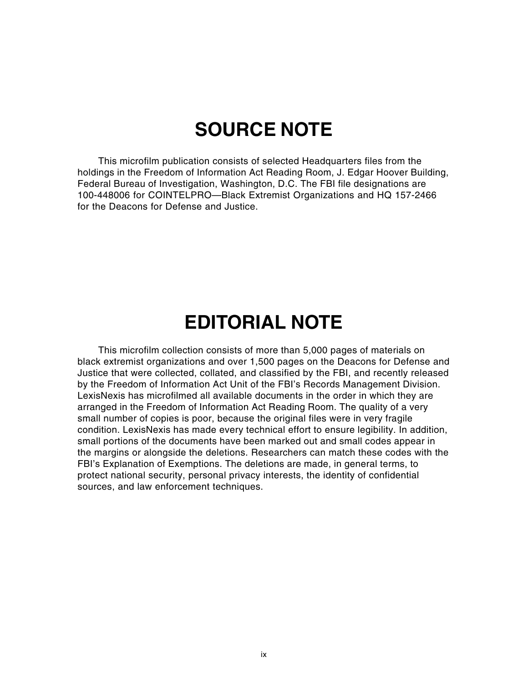## **SOURCE NOTE**

This microfilm publication consists of selected Headquarters files from the holdings in the Freedom of Information Act Reading Room, J. Edgar Hoover Building, Federal Bureau of Investigation, Washington, D.C. The FBI file designations are 100-448006 for COINTELPRO—Black Extremist Organizations and HQ 157-2466 for the Deacons for Defense and Justice.

## **EDITORIAL NOTE**

This microfilm collection consists of more than 5,000 pages of materials on black extremist organizations and over 1,500 pages on the Deacons for Defense and Justice that were collected, collated, and classified by the FBI, and recently released by the Freedom of Information Act Unit of the FBI's Records Management Division. LexisNexis has microfilmed all available documents in the order in which they are arranged in the Freedom of Information Act Reading Room. The quality of a very small number of copies is poor, because the original files were in very fragile condition. LexisNexis has made every technical effort to ensure legibility. In addition, small portions of the documents have been marked out and small codes appear in the margins or alongside the deletions. Researchers can match these codes with the FBI's Explanation of Exemptions. The deletions are made, in general terms, to protect national security, personal privacy interests, the identity of confidential sources, and law enforcement techniques.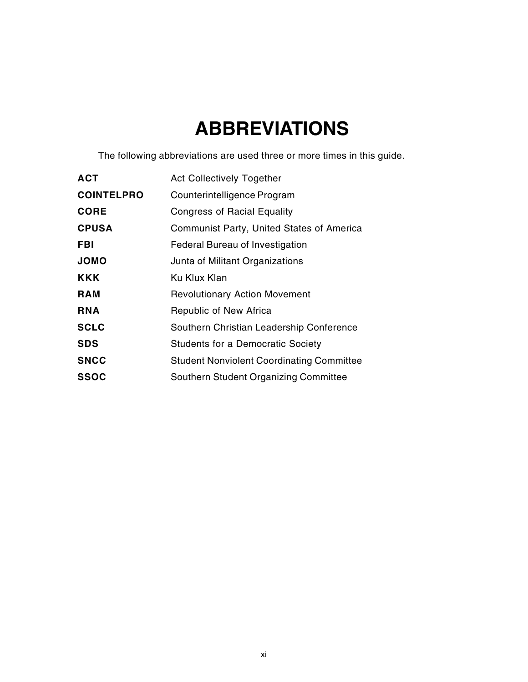## **ABBREVIATIONS**

The following abbreviations are used three or more times in this guide.

| <b>ACT</b>        | <b>Act Collectively Together</b>                 |
|-------------------|--------------------------------------------------|
| <b>COINTELPRO</b> | Counterintelligence Program                      |
| <b>CORE</b>       | <b>Congress of Racial Equality</b>               |
| <b>CPUSA</b>      | Communist Party, United States of America        |
| FBI               | Federal Bureau of Investigation                  |
| <b>JOMO</b>       | Junta of Militant Organizations                  |
| <b>KKK</b>        | Ku Klux Klan                                     |
| <b>RAM</b>        | <b>Revolutionary Action Movement</b>             |
| <b>RNA</b>        | Republic of New Africa                           |
| <b>SCLC</b>       | Southern Christian Leadership Conference         |
| <b>SDS</b>        | <b>Students for a Democratic Society</b>         |
| <b>SNCC</b>       | <b>Student Nonviolent Coordinating Committee</b> |
| <b>SSOC</b>       | Southern Student Organizing Committee            |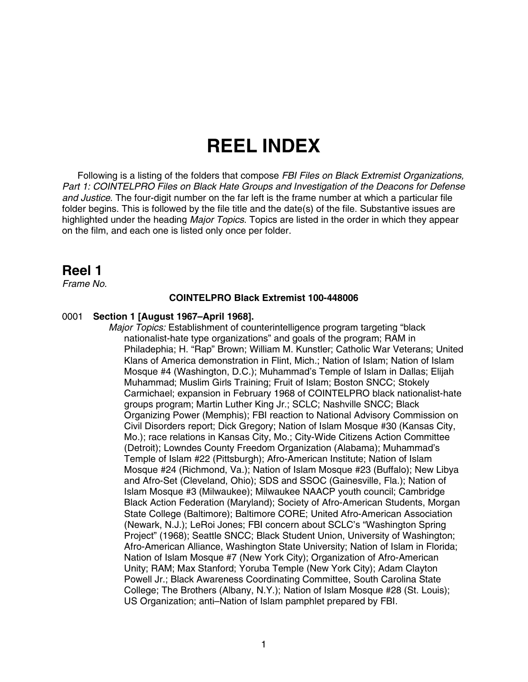## **REEL INDEX**

Following is a listing of the folders that compose FBI Files on Black Extremist Organizations, Part 1: COINTELPRO Files on Black Hate Groups and Investigation of the Deacons for Defense and Justice. The four-digit number on the far left is the frame number at which a particular file folder begins. This is followed by the file title and the date(s) of the file. Substantive issues are highlighted under the heading *Major Topics*. Topics are listed in the order in which they appear on the film, and each one is listed only once per folder.

### **Reel 1**

Frame No.

#### **COINTELPRO Black Extremist 100-448006**

#### 0001 **Section 1 [August 1967–April 1968].**

Major Topics: Establishment of counterintelligence program targeting "black nationalist-hate type organizations" and goals of the program; RAM in Philadephia; H. "Rap" Brown; William M. Kunstler; Catholic War Veterans; United Klans of America demonstration in Flint, Mich.; Nation of Islam; Nation of Islam Mosque #4 (Washington, D.C.); Muhammad's Temple of Islam in Dallas; Elijah Muhammad; Muslim Girls Training; Fruit of Islam; Boston SNCC; Stokely Carmichael; expansion in February 1968 of COINTELPRO black nationalist-hate groups program; Martin Luther King Jr.; SCLC; Nashville SNCC; Black Organizing Power (Memphis); FBI reaction to National Advisory Commission on Civil Disorders report; Dick Gregory; Nation of Islam Mosque #30 (Kansas City, Mo.); race relations in Kansas City, Mo.; City-Wide Citizens Action Committee (Detroit); Lowndes County Freedom Organization (Alabama); Muhammad's Temple of Islam #22 (Pittsburgh); Afro-American Institute; Nation of Islam Mosque #24 (Richmond, Va.); Nation of Islam Mosque #23 (Buffalo); New Libya and Afro-Set (Cleveland, Ohio); SDS and SSOC (Gainesville, Fla.); Nation of Islam Mosque #3 (Milwaukee); Milwaukee NAACP youth council; Cambridge Black Action Federation (Maryland); Society of Afro-American Students, Morgan State College (Baltimore); Baltimore CORE; United Afro-American Association (Newark, N.J.); LeRoi Jones; FBI concern about SCLC's "Washington Spring Project" (1968); Seattle SNCC; Black Student Union, University of Washington; Afro-American Alliance, Washington State University; Nation of Islam in Florida; Nation of Islam Mosque #7 (New York City); Organization of Afro-American Unity; RAM; Max Stanford; Yoruba Temple (New York City); Adam Clayton Powell Jr.; Black Awareness Coordinating Committee, South Carolina State College; The Brothers (Albany, N.Y.); Nation of Islam Mosque #28 (St. Louis); US Organization; anti–Nation of Islam pamphlet prepared by FBI.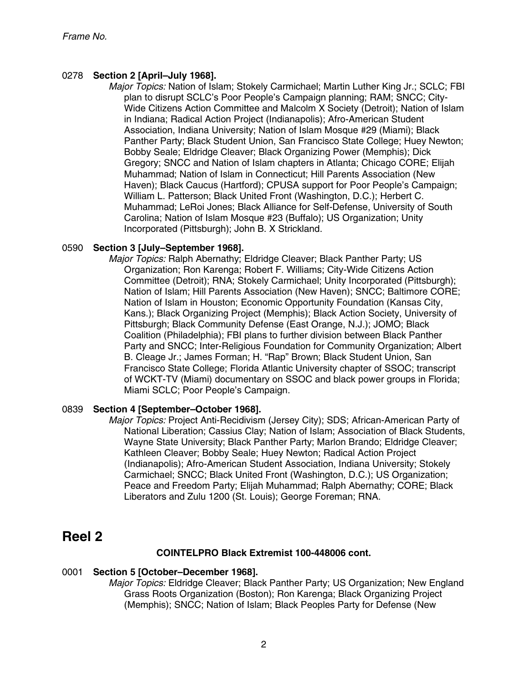#### 0278 **Section 2 [April–July 1968].**

Major Topics: Nation of Islam; Stokely Carmichael; Martin Luther King Jr.; SCLC; FBI plan to disrupt SCLC's Poor People's Campaign planning; RAM; SNCC; City-Wide Citizens Action Committee and Malcolm X Society (Detroit); Nation of Islam in Indiana; Radical Action Project (Indianapolis); Afro-American Student Association, Indiana University; Nation of Islam Mosque #29 (Miami); Black Panther Party; Black Student Union, San Francisco State College; Huey Newton; Bobby Seale; Eldridge Cleaver; Black Organizing Power (Memphis); Dick Gregory; SNCC and Nation of Islam chapters in Atlanta; Chicago CORE; Elijah Muhammad; Nation of Islam in Connecticut; Hill Parents Association (New Haven); Black Caucus (Hartford); CPUSA support for Poor People's Campaign; William L. Patterson; Black United Front (Washington, D.C.); Herbert C. Muhammad; LeRoi Jones; Black Alliance for Self-Defense, University of South Carolina; Nation of Islam Mosque #23 (Buffalo); US Organization; Unity Incorporated (Pittsburgh); John B. X Strickland.

#### 0590 **Section 3 [July–September 1968].**

Major Topics: Ralph Abernathy; Eldridge Cleaver; Black Panther Party; US Organization; Ron Karenga; Robert F. Williams; City-Wide Citizens Action Committee (Detroit); RNA; Stokely Carmichael; Unity Incorporated (Pittsburgh); Nation of Islam; Hill Parents Association (New Haven); SNCC; Baltimore CORE; Nation of Islam in Houston; Economic Opportunity Foundation (Kansas City, Kans.); Black Organizing Project (Memphis); Black Action Society, University of Pittsburgh; Black Community Defense (East Orange, N.J.); JOMO; Black Coalition (Philadelphia); FBI plans to further division between Black Panther Party and SNCC; Inter-Religious Foundation for Community Organization; Albert B. Cleage Jr.; James Forman; H. "Rap" Brown; Black Student Union, San Francisco State College; Florida Atlantic University chapter of SSOC; transcript of WCKT-TV (Miami) documentary on SSOC and black power groups in Florida; Miami SCLC; Poor People's Campaign.

#### 0839 **Section 4 [September–October 1968].**

Major Topics: Project Anti-Recidivism (Jersey City); SDS; African-American Party of National Liberation; Cassius Clay; Nation of Islam; Association of Black Students, Wayne State University; Black Panther Party; Marlon Brando; Eldridge Cleaver; Kathleen Cleaver; Bobby Seale; Huey Newton; Radical Action Project (Indianapolis); Afro-American Student Association, Indiana University; Stokely Carmichael; SNCC; Black United Front (Washington, D.C.); US Organization; Peace and Freedom Party; Elijah Muhammad; Ralph Abernathy; CORE; Black Liberators and Zulu 1200 (St. Louis); George Foreman; RNA.

### **Reel 2**

#### **COINTELPRO Black Extremist 100-448006 cont.**

#### 0001 **Section 5 [October–December 1968].**

Major Topics: Eldridge Cleaver; Black Panther Party; US Organization; New England Grass Roots Organization (Boston); Ron Karenga; Black Organizing Project (Memphis); SNCC; Nation of Islam; Black Peoples Party for Defense (New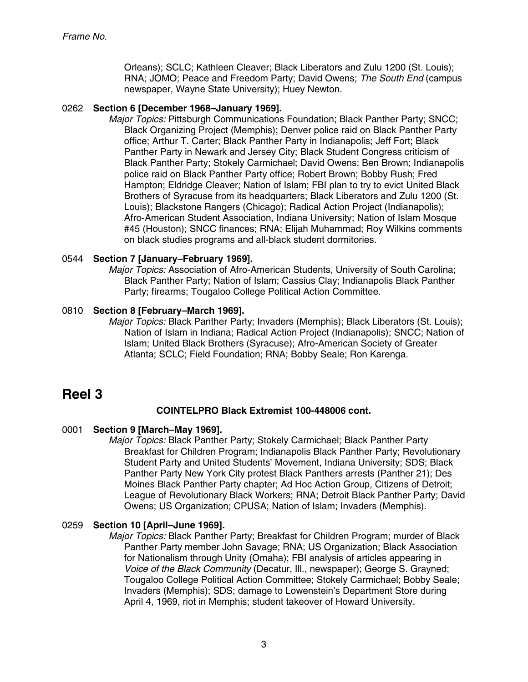Orleans); SCLC; Kathleen Cleaver; Black Liberators and Zulu 1200 (St. Louis); RNA; JOMO; Peace and Freedom Party; David Owens; The South End (campus newspaper, Wayne State University); Huey Newton.

#### 0262 **Section 6 [December 1968–January 1969].**

Major Topics: Pittsburgh Communications Foundation; Black Panther Party; SNCC; Black Organizing Project (Memphis); Denver police raid on Black Panther Party office; Arthur T. Carter; Black Panther Party in Indianapolis; Jeff Fort; Black Panther Party in Newark and Jersey City; Black Student Congress criticism of Black Panther Party; Stokely Carmichael; David Owens; Ben Brown; Indianapolis police raid on Black Panther Party office; Robert Brown; Bobby Rush; Fred Hampton; Eldridge Cleaver; Nation of Islam; FBI plan to try to evict United Black Brothers of Syracuse from its headquarters; Black Liberators and Zulu 1200 (St. Louis); Blackstone Rangers (Chicago); Radical Action Project (Indianapolis); Afro-American Student Association, Indiana University; Nation of Islam Mosque #45 (Houston); SNCC finances; RNA; Elijah Muhammad; Roy Wilkins comments on black studies programs and all-black student dormitories.

#### 0544 **Section 7 [January–February 1969].**

Major Topics: Association of Afro-American Students, University of South Carolina; Black Panther Party; Nation of Islam; Cassius Clay; Indianapolis Black Panther Party; firearms; Tougaloo College Political Action Committee.

#### 0810 **Section 8 [February–March 1969].**

Major Topics: Black Panther Party; Invaders (Memphis); Black Liberators (St. Louis); Nation of Islam in Indiana; Radical Action Project (Indianapolis); SNCC; Nation of Islam; United Black Brothers (Syracuse); Afro-American Society of Greater Atlanta; SCLC; Field Foundation; RNA; Bobby Seale; Ron Karenga.

### **Reel 3**

#### **COINTELPRO Black Extremist 100-448006 cont.**

#### 0001 **Section 9 [March–May 1969].**

Major Topics: Black Panther Party; Stokely Carmichael; Black Panther Party Breakfast for Children Program; Indianapolis Black Panther Party; Revolutionary Student Party and United Students' Movement, Indiana University; SDS; Black Panther Party New York City protest Black Panthers arrests (Panther 21); Des Moines Black Panther Party chapter; Ad Hoc Action Group, Citizens of Detroit; League of Revolutionary Black Workers; RNA; Detroit Black Panther Party; David Owens; US Organization; CPUSA; Nation of Islam; Invaders (Memphis).

#### 0259 **Section 10 [April–June 1969].**

Major Topics: Black Panther Party; Breakfast for Children Program; murder of Black Panther Party member John Savage; RNA; US Organization; Black Association for Nationalism through Unity (Omaha); FBI analysis of articles appearing in Voice of the Black Community (Decatur, Ill., newspaper); George S. Grayned; Tougaloo College Political Action Committee; Stokely Carmichael; Bobby Seale; Invaders (Memphis); SDS; damage to Lowenstein's Department Store during April 4, 1969, riot in Memphis; student takeover of Howard University.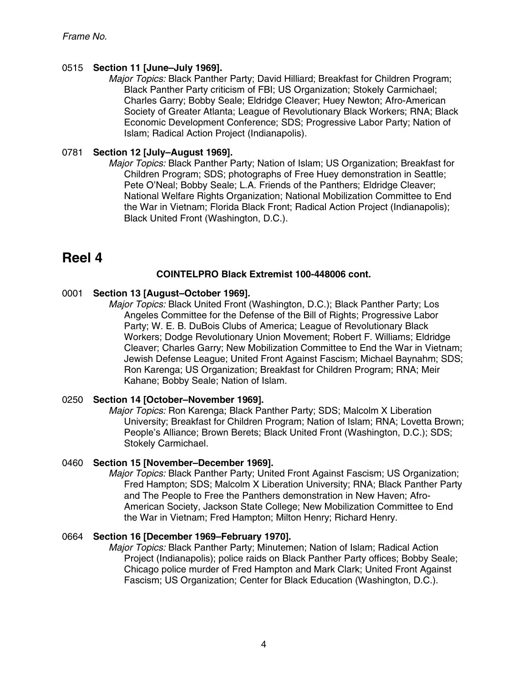#### 0515 **Section 11 [June–July 1969].**

Major Topics: Black Panther Party; David Hilliard; Breakfast for Children Program; Black Panther Party criticism of FBI; US Organization; Stokely Carmichael; Charles Garry; Bobby Seale; Eldridge Cleaver; Huey Newton; Afro-American Society of Greater Atlanta; League of Revolutionary Black Workers; RNA; Black Economic Development Conference; SDS; Progressive Labor Party; Nation of Islam; Radical Action Project (Indianapolis).

#### 0781 **Section 12 [July–August 1969].**

Major Topics: Black Panther Party; Nation of Islam; US Organization; Breakfast for Children Program; SDS; photographs of Free Huey demonstration in Seattle; Pete O'Neal; Bobby Seale; L.A. Friends of the Panthers; Eldridge Cleaver; National Welfare Rights Organization; National Mobilization Committee to End the War in Vietnam; Florida Black Front; Radical Action Project (Indianapolis); Black United Front (Washington, D.C.).

### **Reel 4**

#### **COINTELPRO Black Extremist 100-448006 cont.**

#### 0001 **Section 13 [August–October 1969].**

Major Topics: Black United Front (Washington, D.C.); Black Panther Party; Los Angeles Committee for the Defense of the Bill of Rights; Progressive Labor Party; W. E. B. DuBois Clubs of America; League of Revolutionary Black Workers; Dodge Revolutionary Union Movement; Robert F. Williams; Eldridge Cleaver; Charles Garry; New Mobilization Committee to End the War in Vietnam; Jewish Defense League; United Front Against Fascism; Michael Baynahm; SDS; Ron Karenga; US Organization; Breakfast for Children Program; RNA; Meir Kahane; Bobby Seale; Nation of Islam.

#### 0250 **Section 14 [October–November 1969].**

Major Topics: Ron Karenga; Black Panther Party; SDS; Malcolm X Liberation University; Breakfast for Children Program; Nation of Islam; RNA; Lovetta Brown; People's Alliance; Brown Berets; Black United Front (Washington, D.C.); SDS; Stokely Carmichael.

#### 0460 **Section 15 [November–December 1969].**

Major Topics: Black Panther Party; United Front Against Fascism: US Organization: Fred Hampton; SDS; Malcolm X Liberation University; RNA; Black Panther Party and The People to Free the Panthers demonstration in New Haven; Afro-American Society, Jackson State College; New Mobilization Committee to End the War in Vietnam; Fred Hampton; Milton Henry; Richard Henry.

#### 0664 **Section 16 [December 1969–February 1970].**

Major Topics: Black Panther Party; Minutemen; Nation of Islam; Radical Action Project (Indianapolis); police raids on Black Panther Party offices; Bobby Seale; Chicago police murder of Fred Hampton and Mark Clark; United Front Against Fascism; US Organization; Center for Black Education (Washington, D.C.).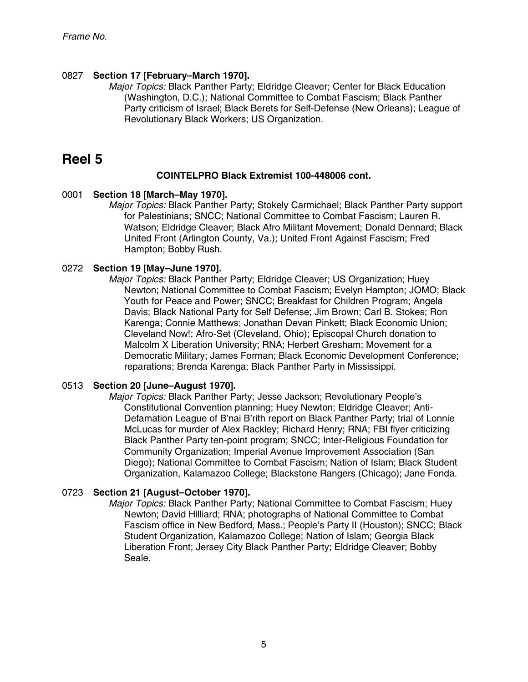#### 0827 **Section 17 [February–March 1970].**

Major Topics: Black Panther Party; Eldridge Cleaver; Center for Black Education (Washington, D.C.); National Committee to Combat Fascism; Black Panther Party criticism of Israel; Black Berets for Self-Defense (New Orleans); League of Revolutionary Black Workers; US Organization.

### **Reel 5**

#### **COINTELPRO Black Extremist 100-448006 cont.**

#### 0001 **Section 18 [March–May 1970].**

Major Topics: Black Panther Party; Stokely Carmichael; Black Panther Party support for Palestinians; SNCC; National Committee to Combat Fascism; Lauren R. Watson; Eldridge Cleaver; Black Afro Militant Movement; Donald Dennard; Black United Front (Arlington County, Va.); United Front Against Fascism; Fred Hampton; Bobby Rush.

#### 0272 **Section 19 [May–June 1970].**

Major Topics: Black Panther Party; Eldridge Cleaver; US Organization; Huey Newton; National Committee to Combat Fascism; Evelyn Hampton; JOMO; Black Youth for Peace and Power; SNCC; Breakfast for Children Program; Angela Davis; Black National Party for Self Defense; Jim Brown; Carl B. Stokes; Ron Karenga; Connie Matthews; Jonathan Devan Pinkett; Black Economic Union; Cleveland Now!; Afro-Set (Cleveland, Ohio); Episcopal Church donation to Malcolm X Liberation University; RNA; Herbert Gresham; Movement for a Democratic Military; James Forman; Black Economic Development Conference; reparations; Brenda Karenga; Black Panther Party in Mississippi.

#### 0513 **Section 20 [June–August 1970].**

Major Topics: Black Panther Party; Jesse Jackson; Revolutionary People's Constitutional Convention planning; Huey Newton; Eldridge Cleaver; Anti-Defamation League of B'nai B'rith report on Black Panther Party; trial of Lonnie McLucas for murder of Alex Rackley; Richard Henry; RNA; FBI flyer criticizing Black Panther Party ten-point program; SNCC; Inter-Religious Foundation for Community Organization; Imperial Avenue Improvement Association (San Diego); National Committee to Combat Fascism; Nation of Islam; Black Student Organization, Kalamazoo College; Blackstone Rangers (Chicago); Jane Fonda.

#### 0723 **Section 21 [August–October 1970].**

Major Topics: Black Panther Party; National Committee to Combat Fascism; Huey Newton; David Hilliard; RNA; photographs of National Committee to Combat Fascism office in New Bedford, Mass.; People's Party II (Houston); SNCC; Black Student Organization, Kalamazoo College; Nation of Islam; Georgia Black Liberation Front; Jersey City Black Panther Party; Eldridge Cleaver; Bobby Seale.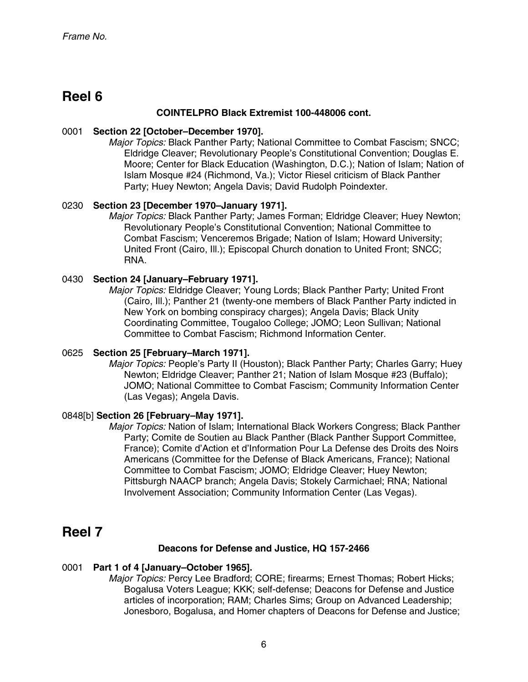### **Reel 6**

#### **COINTELPRO Black Extremist 100-448006 cont.**

#### 0001 **Section 22 [October–December 1970].**

Major Topics: Black Panther Party; National Committee to Combat Fascism; SNCC; Eldridge Cleaver; Revolutionary People's Constitutional Convention; Douglas E. Moore; Center for Black Education (Washington, D.C.); Nation of Islam; Nation of Islam Mosque #24 (Richmond, Va.); Victor Riesel criticism of Black Panther Party; Huey Newton; Angela Davis; David Rudolph Poindexter.

#### 0230 **Section 23 [December 1970–January 1971].**

Major Topics: Black Panther Party; James Forman; Eldridge Cleaver; Huey Newton; Revolutionary People's Constitutional Convention; National Committee to Combat Fascism; Venceremos Brigade; Nation of Islam; Howard University; United Front (Cairo, Ill.); Episcopal Church donation to United Front; SNCC; RNA.

#### 0430 **Section 24 [January–February 1971].**

Major Topics: Eldridge Cleaver; Young Lords; Black Panther Party; United Front (Cairo, Ill.); Panther 21 (twenty-one members of Black Panther Party indicted in New York on bombing conspiracy charges); Angela Davis; Black Unity Coordinating Committee, Tougaloo College; JOMO; Leon Sullivan; National Committee to Combat Fascism; Richmond Information Center.

#### 0625 **Section 25 [February–March 1971].**

Major Topics: People's Party II (Houston); Black Panther Party; Charles Garry; Huey Newton; Eldridge Cleaver; Panther 21; Nation of Islam Mosque #23 (Buffalo); JOMO; National Committee to Combat Fascism; Community Information Center (Las Vegas); Angela Davis.

#### 0848[b] **Section 26 [February–May 1971].**

Major Topics: Nation of Islam; International Black Workers Congress; Black Panther Party; Comite de Soutien au Black Panther (Black Panther Support Committee, France); Comite d'Action et d'Information Pour La Defense des Droits des Noirs Americans (Committee for the Defense of Black Americans, France); National Committee to Combat Fascism; JOMO; Eldridge Cleaver; Huey Newton; Pittsburgh NAACP branch; Angela Davis; Stokely Carmichael; RNA; National Involvement Association; Community Information Center (Las Vegas).

### **Reel 7**

#### **Deacons for Defense and Justice, HQ 157-2466**

#### 0001 **Part 1 of 4 [January–October 1965].**

Major Topics: Percy Lee Bradford; CORE; firearms; Ernest Thomas; Robert Hicks; Bogalusa Voters League; KKK; self-defense; Deacons for Defense and Justice articles of incorporation; RAM; Charles Sims; Group on Advanced Leadership; Jonesboro, Bogalusa, and Homer chapters of Deacons for Defense and Justice;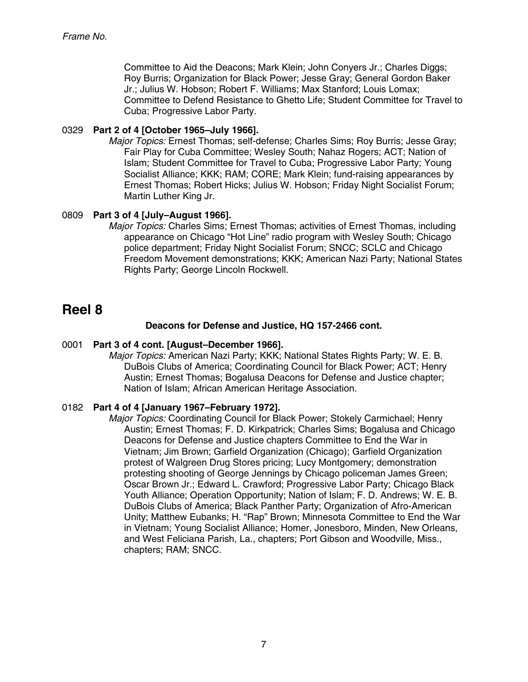Committee to Aid the Deacons; Mark Klein; John Conyers Jr.; Charles Diggs; Roy Burris; Organization for Black Power; Jesse Gray; General Gordon Baker Jr.; Julius W. Hobson; Robert F. Williams; Max Stanford; Louis Lomax; Committee to Defend Resistance to Ghetto Life; Student Committee for Travel to Cuba; Progressive Labor Party.

#### 0329 **Part 2 of 4 [October 1965–July 1966].**

Major Topics: Ernest Thomas; self-defense; Charles Sims; Roy Burris; Jesse Gray; Fair Play for Cuba Committee; Wesley South; Nahaz Rogers; ACT; Nation of Islam; Student Committee for Travel to Cuba; Progressive Labor Party; Young Socialist Alliance; KKK; RAM; CORE; Mark Klein; fund-raising appearances by Ernest Thomas; Robert Hicks; Julius W. Hobson; Friday Night Socialist Forum; Martin Luther King Jr.

#### 0809 **Part 3 of 4 [July–August 1966].**

Major Topics: Charles Sims; Ernest Thomas; activities of Ernest Thomas, including appearance on Chicago "Hot Line" radio program with Wesley South; Chicago police department; Friday Night Socialist Forum; SNCC; SCLC and Chicago Freedom Movement demonstrations; KKK; American Nazi Party; National States Rights Party; George Lincoln Rockwell.

### **Reel 8**

#### **Deacons for Defense and Justice, HQ 157-2466 cont.**

#### 0001 **Part 3 of 4 cont. [August–December 1966].**

Major Topics: American Nazi Party; KKK; National States Rights Party; W. E. B. DuBois Clubs of America; Coordinating Council for Black Power; ACT; Henry Austin; Ernest Thomas; Bogalusa Deacons for Defense and Justice chapter; Nation of Islam; African American Heritage Association.

#### 0182 **Part 4 of 4 [January 1967–February 1972].**

Major Topics: Coordinating Council for Black Power; Stokely Carmichael; Henry Austin; Ernest Thomas; F. D. Kirkpatrick; Charles Sims; Bogalusa and Chicago Deacons for Defense and Justice chapters Committee to End the War in Vietnam; Jim Brown; Garfield Organization (Chicago); Garfield Organization protest of Walgreen Drug Stores pricing; Lucy Montgomery; demonstration protesting shooting of George Jennings by Chicago policeman James Green; Oscar Brown Jr.; Edward L. Crawford; Progressive Labor Party; Chicago Black Youth Alliance; Operation Opportunity; Nation of Islam; F. D. Andrews; W. E. B. DuBois Clubs of America; Black Panther Party; Organization of Afro-American Unity; Matthew Eubanks; H. "Rap" Brown; Minnesota Committee to End the War in Vietnam; Young Socialist Alliance; Homer, Jonesboro, Minden, New Orleans, and West Feliciana Parish, La., chapters; Port Gibson and Woodville, Miss., chapters; RAM; SNCC.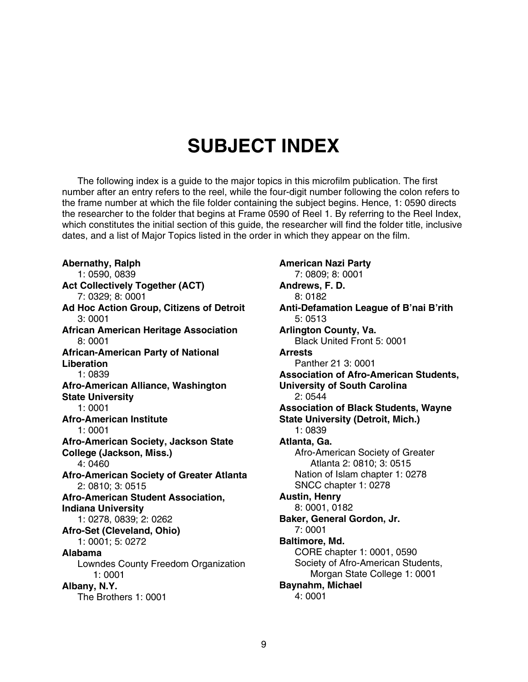## **SUBJECT INDEX**

The following index is a guide to the major topics in this microfilm publication. The first number after an entry refers to the reel, while the four-digit number following the colon refers to the frame number at which the file folder containing the subject begins. Hence, 1: 0590 directs the researcher to the folder that begins at Frame 0590 of Reel 1. By referring to the Reel Index, which constitutes the initial section of this guide, the researcher will find the folder title, inclusive dates, and a list of Major Topics listed in the order in which they appear on the film.

**Abernathy, Ralph**  1: 0590, 0839 **Act Collectively Together (ACT)**  7: 0329; 8: 0001 **Ad Hoc Action Group, Citizens of Detroit**  3: 0001 **African American Heritage Association**  8: 0001 **African-American Party of National Liberation**  1: 0839 **Afro-American Alliance, Washington State University**  1: 0001 **Afro-American Institute**  1: 0001 **Afro-American Society, Jackson State College (Jackson, Miss.)**  4: 0460 **Afro-American Society of Greater Atlanta**  2: 0810; 3: 0515 **Afro-American Student Association, Indiana University**  1: 0278, 0839; 2: 0262 **Afro-Set (Cleveland, Ohio)**  1: 0001; 5: 0272 **Alabama**  Lowndes County Freedom Organization 1: 0001 **Albany, N.Y.**  The Brothers 1: 0001

**American Nazi Party**  7: 0809; 8: 0001 **Andrews, F. D.**  8: 0182 **Anti-Defamation League of B'nai B'rith**  5: 0513 **Arlington County, Va.**  Black United Front 5: 0001 **Arrests**  Panther 21 3: 0001 **Association of Afro-American Students, University of South Carolina**  2: 0544 **Association of Black Students, Wayne State University (Detroit, Mich.)**  1: 0839 **Atlanta, Ga.**  Afro-American Society of Greater Atlanta 2: 0810; 3: 0515 Nation of Islam chapter 1: 0278 SNCC chapter 1: 0278 **Austin, Henry**  8: 0001, 0182 **Baker, General Gordon, Jr.**  7: 0001 **Baltimore, Md.**  CORE chapter 1: 0001, 0590 Society of Afro-American Students, Morgan State College 1: 0001 **Baynahm, Michael**  4: 0001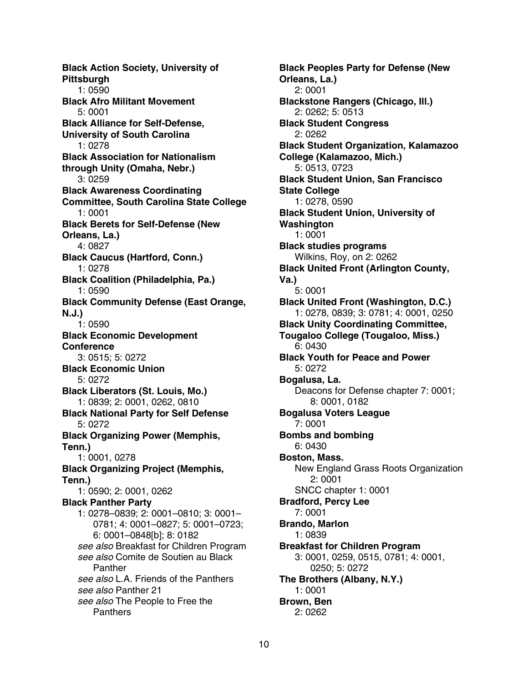**Black Action Society, University of Pittsburgh**  1: 0590 **Black Afro Militant Movement**  5: 0001 **Black Alliance for Self-Defense, University of South Carolina**  1: 0278 **Black Association for Nationalism through Unity (Omaha, Nebr.)**  3: 0259 **Black Awareness Coordinating Committee, South Carolina State College**  1: 0001 **Black Berets for Self-Defense (New Orleans, La.)**  4: 0827 **Black Caucus (Hartford, Conn.)**  1: 0278 **Black Coalition (Philadelphia, Pa.)**  1: 0590 **Black Community Defense (East Orange, N.J.)**  1: 0590 **Black Economic Development Conference**  3: 0515; 5: 0272 **Black Economic Union**  5: 0272 **Black Liberators (St. Louis, Mo.)**  1: 0839; 2: 0001, 0262, 0810 **Black National Party for Self Defense**  5: 0272 **Black Organizing Power (Memphis, Tenn.)**  1: 0001, 0278 **Black Organizing Project (Memphis, Tenn.)**  1: 0590; 2: 0001, 0262 **Black Panther Party**  1: 0278–0839; 2: 0001–0810; 3: 0001– 0781; 4: 0001–0827; 5: 0001–0723; 6: 0001–0848[b]; 8: 0182 see also Breakfast for Children Program see also Comite de Soutien au Black Panther see also L.A. Friends of the Panthers see also Panther 21 see also The People to Free the **Panthers** 

**Black Peoples Party for Defense (New Orleans, La.)**  2: 0001 **Blackstone Rangers (Chicago, Ill.)**  2: 0262; 5: 0513 **Black Student Congress**  2: 0262 **Black Student Organization, Kalamazoo College (Kalamazoo, Mich.)**  5: 0513, 0723 **Black Student Union, San Francisco State College**  1: 0278, 0590 **Black Student Union, University of Washington**  1: 0001 **Black studies programs**  Wilkins, Roy, on 2: 0262 **Black United Front (Arlington County, Va.)**  5: 0001 **Black United Front (Washington, D.C.)**  1: 0278, 0839; 3: 0781; 4: 0001, 0250 **Black Unity Coordinating Committee, Tougaloo College (Tougaloo, Miss.)**  6: 0430 **Black Youth for Peace and Power**  5: 0272 **Bogalusa, La.**  Deacons for Defense chapter 7: 0001; 8: 0001, 0182 **Bogalusa Voters League**  7: 0001 **Bombs and bombing**  6: 0430 **Boston, Mass.**  New England Grass Roots Organization 2: 0001 SNCC chapter 1: 0001 **Bradford, Percy Lee**  7: 0001 **Brando, Marlon**  1: 0839 **Breakfast for Children Program**  3: 0001, 0259, 0515, 0781; 4: 0001, 0250; 5: 0272 **The Brothers (Albany, N.Y.)**  1: 0001 **Brown, Ben**  2: 0262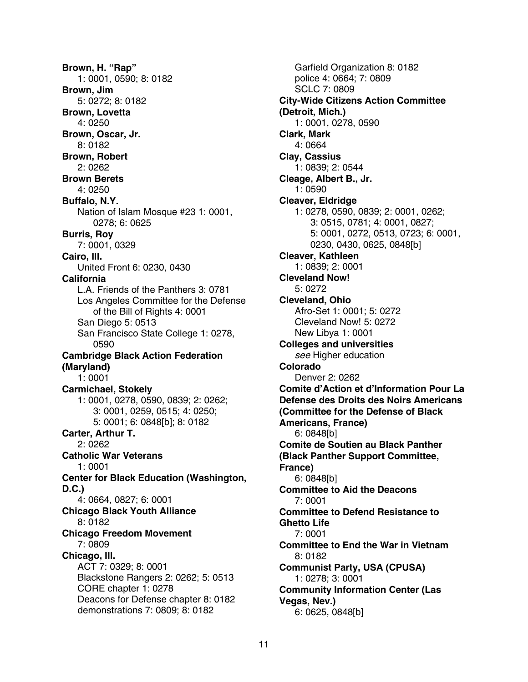**Brown, H. "Rap"**  1: 0001, 0590; 8: 0182 **Brown, Jim**  5: 0272; 8: 0182 **Brown, Lovetta**  4: 0250 **Brown, Oscar, Jr.**  8: 0182 **Brown, Robert**  2: 0262 **Brown Berets**  4: 0250 **Buffalo, N.Y.**  Nation of Islam Mosque #23 1: 0001, 0278; 6: 0625 **Burris, Roy**  7: 0001, 0329 **Cairo, Ill.**  United Front 6: 0230, 0430 **California**  L.A. Friends of the Panthers 3: 0781 Los Angeles Committee for the Defense of the Bill of Rights 4: 0001 San Diego 5: 0513 San Francisco State College 1: 0278, 0590 **Cambridge Black Action Federation (Maryland)**  1: 0001 **Carmichael, Stokely**  1: 0001, 0278, 0590, 0839; 2: 0262; 3: 0001, 0259, 0515; 4: 0250; 5: 0001; 6: 0848[b]; 8: 0182 **Carter, Arthur T.**  2: 0262 **Catholic War Veterans**  1: 0001 **Center for Black Education (Washington, D.C.)**  4: 0664, 0827; 6: 0001 **Chicago Black Youth Alliance**  8: 0182 **Chicago Freedom Movement**  7: 0809 **Chicago, Ill.**  ACT 7: 0329; 8: 0001 Blackstone Rangers 2: 0262; 5: 0513 CORE chapter 1: 0278 Deacons for Defense chapter 8: 0182 demonstrations 7: 0809; 8: 0182

Garfield Organization 8: 0182 police 4: 0664; 7: 0809 SCLC 7: 0809 **City-Wide Citizens Action Committee (Detroit, Mich.)**  1: 0001, 0278, 0590 **Clark, Mark**  4: 0664 **Clay, Cassius**  1: 0839; 2: 0544 **Cleage, Albert B., Jr.**  1: 0590 **Cleaver, Eldridge**  1: 0278, 0590, 0839; 2: 0001, 0262; 3: 0515, 0781; 4: 0001, 0827; 5: 0001, 0272, 0513, 0723; 6: 0001, 0230, 0430, 0625, 0848[b] **Cleaver, Kathleen**  1: 0839; 2: 0001 **Cleveland Now!**  5: 0272 **Cleveland, Ohio**  Afro-Set 1: 0001; 5: 0272 Cleveland Now! 5: 0272 New Libya 1: 0001 **Colleges and universities**  see Higher education **Colorado**  Denver 2: 0262 **Comite d'Action et d'Information Pour La Defense des Droits des Noirs Americans (Committee for the Defense of Black Americans, France)**  6: 0848[b] **Comite de Soutien au Black Panther (Black Panther Support Committee, France)**  6: 0848[b] **Committee to Aid the Deacons**  7: 0001 **Committee to Defend Resistance to Ghetto Life**  7: 0001 **Committee to End the War in Vietnam**  8: 0182 **Communist Party, USA (CPUSA)**  1: 0278; 3: 0001 **Community Information Center (Las Vegas, Nev.)**  6: 0625, 0848[b]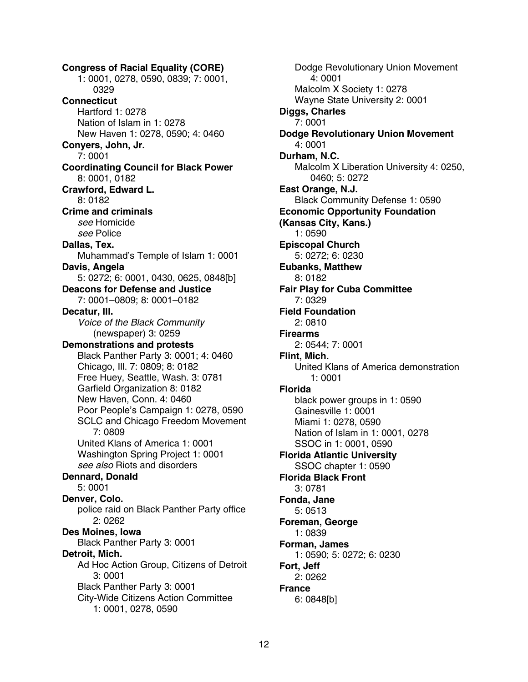**Congress of Racial Equality (CORE)**  1: 0001, 0278, 0590, 0839; 7: 0001, 0329 **Connecticut**  Hartford 1: 0278 Nation of Islam in 1: 0278 New Haven 1: 0278, 0590; 4: 0460 **Conyers, John, Jr.**  7: 0001 **Coordinating Council for Black Power**  8: 0001, 0182 **Crawford, Edward L.**  8: 0182 **Crime and criminals**  see Homicide see Police **Dallas, Tex.**  Muhammad's Temple of Islam 1: 0001 **Davis, Angela**  5: 0272; 6: 0001, 0430, 0625, 0848[b] **Deacons for Defense and Justice**  7: 0001–0809; 8: 0001–0182 **Decatur, Ill.**  Voice of the Black Community (newspaper) 3: 0259 **Demonstrations and protests**  Black Panther Party 3: 0001; 4: 0460 Chicago, Ill. 7: 0809; 8: 0182 Free Huey, Seattle, Wash. 3: 0781 Garfield Organization 8: 0182 New Haven, Conn. 4: 0460 Poor People's Campaign 1: 0278, 0590 SCLC and Chicago Freedom Movement 7: 0809 United Klans of America 1: 0001 Washington Spring Project 1: 0001 see also Riots and disorders **Dennard, Donald**  5: 0001 **Denver, Colo.**  police raid on Black Panther Party office 2: 0262 **Des Moines, Iowa**  Black Panther Party 3: 0001 **Detroit, Mich.**  Ad Hoc Action Group, Citizens of Detroit 3: 0001 Black Panther Party 3: 0001 City-Wide Citizens Action Committee 1: 0001, 0278, 0590

Dodge Revolutionary Union Movement 4: 0001 Malcolm X Society 1: 0278 Wayne State University 2: 0001 **Diggs, Charles**  7: 0001 **Dodge Revolutionary Union Movement**  4: 0001 **Durham, N.C.**  Malcolm X Liberation University 4: 0250, 0460; 5: 0272 **East Orange, N.J.**  Black Community Defense 1: 0590 **Economic Opportunity Foundation (Kansas City, Kans.)**  1: 0590 **Episcopal Church**  5: 0272; 6: 0230 **Eubanks, Matthew**  8: 0182 **Fair Play for Cuba Committee**  7: 0329 **Field Foundation**  2: 0810 **Firearms**  2: 0544; 7: 0001 **Flint, Mich.**  United Klans of America demonstration 1: 0001 **Florida**  black power groups in 1: 0590 Gainesville 1: 0001 Miami 1: 0278, 0590 Nation of Islam in 1: 0001, 0278 SSOC in 1: 0001, 0590 **Florida Atlantic University**  SSOC chapter 1: 0590 **Florida Black Front**  3: 0781 **Fonda, Jane**  5: 0513 **Foreman, George**  1: 0839 **Forman, James**  1: 0590; 5: 0272; 6: 0230 **Fort, Jeff**  2: 0262 **France**  6: 0848[b]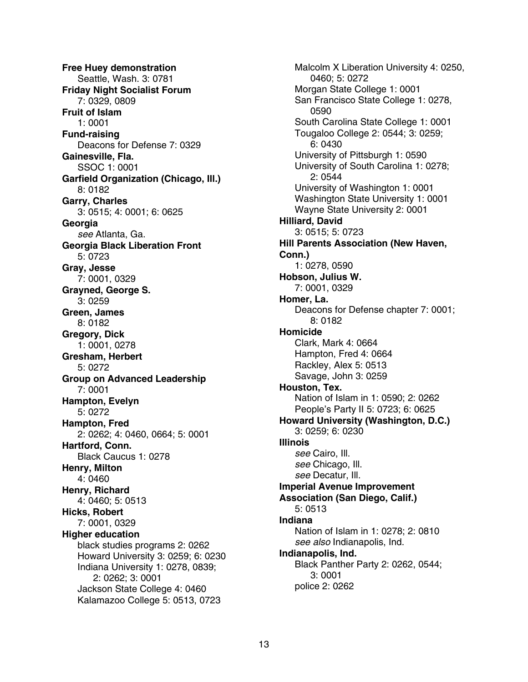**Free Huey demonstration**  Seattle, Wash. 3: 0781 **Friday Night Socialist Forum**  7: 0329, 0809 **Fruit of Islam**  1: 0001 **Fund-raising**  Deacons for Defense 7: 0329 **Gainesville, Fla.**  SSOC 1: 0001 **Garfield Organization (Chicago, Ill.)**  8: 0182 **Garry, Charles**  3: 0515; 4: 0001; 6: 0625 **Georgia**  see Atlanta, Ga. **Georgia Black Liberation Front**  5: 0723 **Gray, Jesse**  7: 0001, 0329 **Grayned, George S.**  3: 0259 **Green, James**  8: 0182 **Gregory, Dick**  1: 0001, 0278 **Gresham, Herbert**  5: 0272 **Group on Advanced Leadership**  7: 0001 **Hampton, Evelyn**  5: 0272 **Hampton, Fred**  2: 0262; 4: 0460, 0664; 5: 0001 **Hartford, Conn.**  Black Caucus 1: 0278 **Henry, Milton**  4: 0460 **Henry, Richard**  4: 0460; 5: 0513 **Hicks, Robert**  7: 0001, 0329 **Higher education**  black studies programs 2: 0262 Howard University 3: 0259; 6: 0230 Indiana University 1: 0278, 0839; 2: 0262; 3: 0001 Jackson State College 4: 0460 Kalamazoo College 5: 0513, 0723

Malcolm X Liberation University 4: 0250, 0460; 5: 0272 Morgan State College 1: 0001 San Francisco State College 1: 0278, 0590 South Carolina State College 1: 0001 Tougaloo College 2: 0544; 3: 0259; 6: 0430 University of Pittsburgh 1: 0590 University of South Carolina 1: 0278; 2: 0544 University of Washington 1: 0001 Washington State University 1: 0001 Wayne State University 2: 0001 **Hilliard, David**  3: 0515; 5: 0723 **Hill Parents Association (New Haven, Conn.)**  1: 0278, 0590 **Hobson, Julius W.**  7: 0001, 0329 **Homer, La.**  Deacons for Defense chapter 7: 0001; 8: 0182 **Homicide**  Clark, Mark 4: 0664 Hampton, Fred 4: 0664 Rackley, Alex 5: 0513 Savage, John 3: 0259 **Houston, Tex.**  Nation of Islam in 1: 0590; 2: 0262 People's Party II 5: 0723; 6: 0625 **Howard University (Washington, D.C.)**  3: 0259; 6: 0230 **Illinois**  see Cairo, Ill. see Chicago, Ill. see Decatur, Ill. **Imperial Avenue Improvement Association (San Diego, Calif.)**  5: 0513 **Indiana**  Nation of Islam in 1: 0278; 2: 0810 see also Indianapolis, Ind. **Indianapolis, Ind.**  Black Panther Party 2: 0262, 0544; 3: 0001 police 2: 0262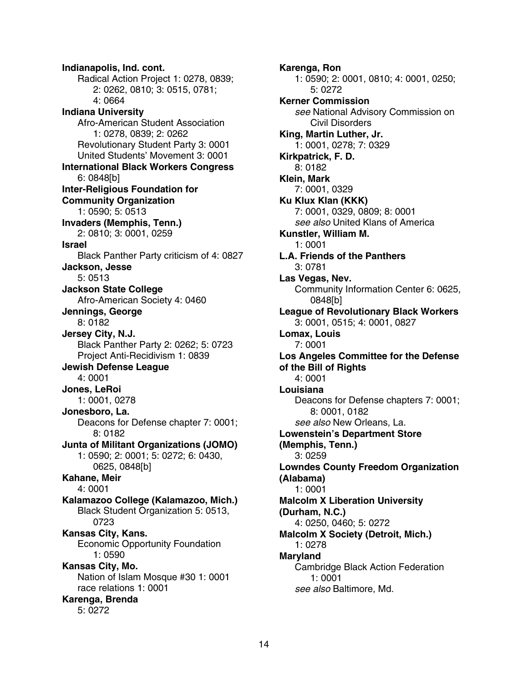**Indianapolis, Ind. cont.**  Radical Action Project 1: 0278, 0839; 2: 0262, 0810; 3: 0515, 0781; 4: 0664 **Indiana University**  Afro-American Student Association 1: 0278, 0839; 2: 0262 Revolutionary Student Party 3: 0001 United Students' Movement 3: 0001 **International Black Workers Congress**  6: 0848[b] **Inter-Religious Foundation for Community Organization**  1: 0590; 5: 0513 **Invaders (Memphis, Tenn.)**  2: 0810; 3: 0001, 0259 **Israel**  Black Panther Party criticism of 4: 0827 **Jackson, Jesse**  5: 0513 **Jackson State College**  Afro-American Society 4: 0460 **Jennings, George**  8: 0182 **Jersey City, N.J.**  Black Panther Party 2: 0262; 5: 0723 Project Anti-Recidivism 1: 0839 **Jewish Defense League**  4: 0001 **Jones, LeRoi**  1: 0001, 0278 **Jonesboro, La.**  Deacons for Defense chapter 7: 0001; 8: 0182 **Junta of Militant Organizations (JOMO)**  1: 0590; 2: 0001; 5: 0272; 6: 0430, 0625, 0848[b] **Kahane, Meir**  4: 0001 **Kalamazoo College (Kalamazoo, Mich.)**  Black Student Organization 5: 0513, 0723 **Kansas City, Kans.**  Economic Opportunity Foundation 1: 0590 **Kansas City, Mo.**  Nation of Islam Mosque #30 1: 0001 race relations 1: 0001 **Karenga, Brenda**  5: 0272

**Karenga, Ron**  1: 0590; 2: 0001, 0810; 4: 0001, 0250; 5: 0272 **Kerner Commission**  see National Advisory Commission on Civil Disorders **King, Martin Luther, Jr.**  1: 0001, 0278; 7: 0329 **Kirkpatrick, F. D.**  8: 0182 **Klein, Mark**  7: 0001, 0329 **Ku Klux Klan (KKK)**  7: 0001, 0329, 0809; 8: 0001 see also United Klans of America **Kunstler, William M.**  1: 0001 **L.A. Friends of the Panthers**  3: 0781 **Las Vegas, Nev.**  Community Information Center 6: 0625, 0848[b] **League of Revolutionary Black Workers**  3: 0001, 0515; 4: 0001, 0827 **Lomax, Louis**  7: 0001 **Los Angeles Committee for the Defense of the Bill of Rights**  4: 0001 **Louisiana**  Deacons for Defense chapters 7: 0001; 8: 0001, 0182 see also New Orleans, La. **Lowenstein's Department Store (Memphis, Tenn.)**  3: 0259 **Lowndes County Freedom Organization (Alabama)**  1: 0001 **Malcolm X Liberation University (Durham, N.C.)**  4: 0250, 0460; 5: 0272 **Malcolm X Society (Detroit, Mich.)**  1: 0278 **Maryland**  Cambridge Black Action Federation 1: 0001 see also Baltimore, Md.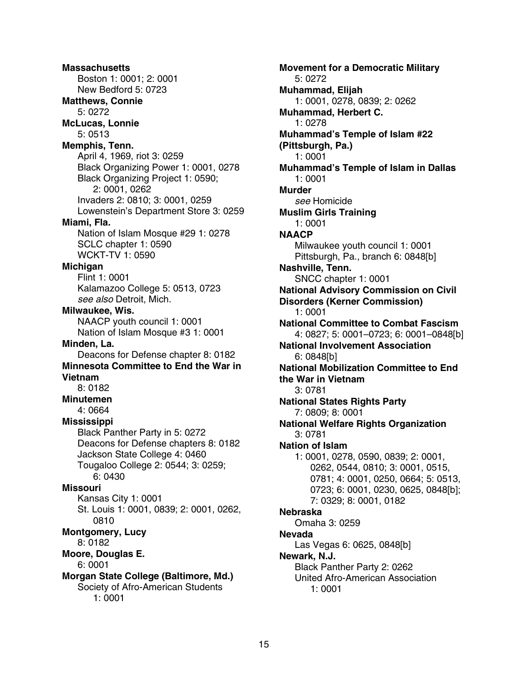**Massachusetts**  Boston 1: 0001; 2: 0001 New Bedford 5: 0723 **Matthews, Connie**  5: 0272 **McLucas, Lonnie**  5: 0513 **Memphis, Tenn.**  April 4, 1969, riot 3: 0259 Black Organizing Power 1: 0001, 0278 Black Organizing Project 1: 0590; 2: 0001, 0262 Invaders 2: 0810; 3: 0001, 0259 Lowenstein's Department Store 3: 0259 **Miami, Fla.**  Nation of Islam Mosque #29 1: 0278 SCLC chapter 1: 0590 WCKT-TV 1: 0590 **Michigan**  Flint 1: 0001 Kalamazoo College 5: 0513, 0723 see also Detroit, Mich. **Milwaukee, Wis.**  NAACP youth council 1: 0001 Nation of Islam Mosque #3 1: 0001 **Minden, La.**  Deacons for Defense chapter 8: 0182 **Minnesota Committee to End the War in Vietnam**  8: 0182 **Minutemen**  4: 0664 **Mississippi**  Black Panther Party in 5: 0272 Deacons for Defense chapters 8: 0182 Jackson State College 4: 0460 Tougaloo College 2: 0544; 3: 0259; 6: 0430 **Missouri**  Kansas City 1: 0001 St. Louis 1: 0001, 0839; 2: 0001, 0262, 0810 **Montgomery, Lucy**  8: 0182 **Moore, Douglas E.**  6: 0001 **Morgan State College (Baltimore, Md.)**  Society of Afro-American Students 1: 0001

**Movement for a Democratic Military**  5: 0272 **Muhammad, Elijah**  1: 0001, 0278, 0839; 2: 0262 **Muhammad, Herbert C.**  1: 0278 **Muhammad's Temple of Islam #22 (Pittsburgh, Pa.)**  1: 0001 **Muhammad's Temple of Islam in Dallas**  1: 0001 **Murder**  see Homicide **Muslim Girls Training**  1: 0001 **NAACP**  Milwaukee youth council 1: 0001 Pittsburgh, Pa., branch 6: 0848[b] **Nashville, Tenn.**  SNCC chapter 1: 0001 **National Advisory Commission on Civil Disorders (Kerner Commission)**  1: 0001 **National Committee to Combat Fascism**  4: 0827; 5: 0001–0723; 6: 0001–0848[b] **National Involvement Association**  6: 0848[b] **National Mobilization Committee to End the War in Vietnam**  3: 0781 **National States Rights Party**  7: 0809; 8: 0001 **National Welfare Rights Organization**  3: 0781 **Nation of Islam**  1: 0001, 0278, 0590, 0839; 2: 0001, 0262, 0544, 0810; 3: 0001, 0515, 0781; 4: 0001, 0250, 0664; 5: 0513, 0723; 6: 0001, 0230, 0625, 0848[b]; 7: 0329; 8: 0001, 0182 **Nebraska**  Omaha 3: 0259 **Nevada**  Las Vegas 6: 0625, 0848[b] **Newark, N.J.**  Black Panther Party 2: 0262 United Afro-American Association 1: 0001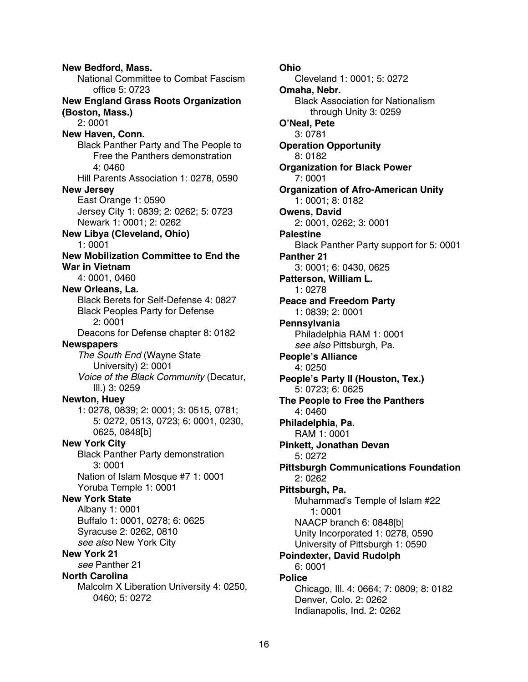**New Bedford, Mass.**  National Committee to Combat Fascism office 5: 0723 **New England Grass Roots Organization (Boston, Mass.)**  2: 0001 **New Haven, Conn.**  Black Panther Party and The People to Free the Panthers demonstration 4: 0460 Hill Parents Association 1: 0278, 0590 **New Jersey**  East Orange 1: 0590 Jersey City 1: 0839; 2: 0262; 5: 0723 Newark 1: 0001; 2: 0262 **New Libya (Cleveland, Ohio)**  1: 0001 **New Mobilization Committee to End the War in Vietnam**  4: 0001, 0460 **New Orleans, La.**  Black Berets for Self-Defense 4: 0827 Black Peoples Party for Defense 2: 0001 Deacons for Defense chapter 8: 0182 **Newspapers**  The South End (Wayne State University) 2: 0001 Voice of the Black Community (Decatur, Ill.) 3: 0259 **Newton, Huey**  1: 0278, 0839; 2: 0001; 3: 0515, 0781; 5: 0272, 0513, 0723; 6: 0001, 0230, 0625, 0848[b] **New York City**  Black Panther Party demonstration 3: 0001 Nation of Islam Mosque #7 1: 0001 Yoruba Temple 1: 0001 **New York State**  Albany 1: 0001 Buffalo 1: 0001, 0278; 6: 0625 Syracuse 2: 0262, 0810 see also New York City **New York 21**  see Panther 21 **North Carolina**  Malcolm X Liberation University 4: 0250, 0460; 5: 0272

**Ohio**  Cleveland 1: 0001; 5: 0272 **Omaha, Nebr.**  Black Association for Nationalism through Unity 3: 0259 **O'Neal, Pete**  3: 0781 **Operation Opportunity**  8: 0182 **Organization for Black Power**  7: 0001 **Organization of Afro-American Unity**  1: 0001; 8: 0182 **Owens, David**  2: 0001, 0262; 3: 0001 **Palestine**  Black Panther Party support for 5: 0001 **Panther 21**  3: 0001; 6: 0430, 0625 **Patterson, William L.**  1: 0278 **Peace and Freedom Party**  1: 0839; 2: 0001 **Pennsylvania**  Philadelphia RAM 1: 0001 see also Pittsburgh, Pa. **People's Alliance**  4: 0250 **People's Party II (Houston, Tex.)**  5: 0723; 6: 0625 **The People to Free the Panthers**  4: 0460 **Philadelphia, Pa.**  RAM 1: 0001 **Pinkett, Jonathan Devan**  5: 0272 **Pittsburgh Communications Foundation**  2: 0262 **Pittsburgh, Pa.**  Muhammad's Temple of Islam #22 1: 0001 NAACP branch 6: 0848[b] Unity Incorporated 1: 0278, 0590 University of Pittsburgh 1: 0590 **Poindexter, David Rudolph**  6: 0001 **Police**  Chicago, Ill. 4: 0664; 7: 0809; 8: 0182 Denver, Colo. 2: 0262 Indianapolis, Ind. 2: 0262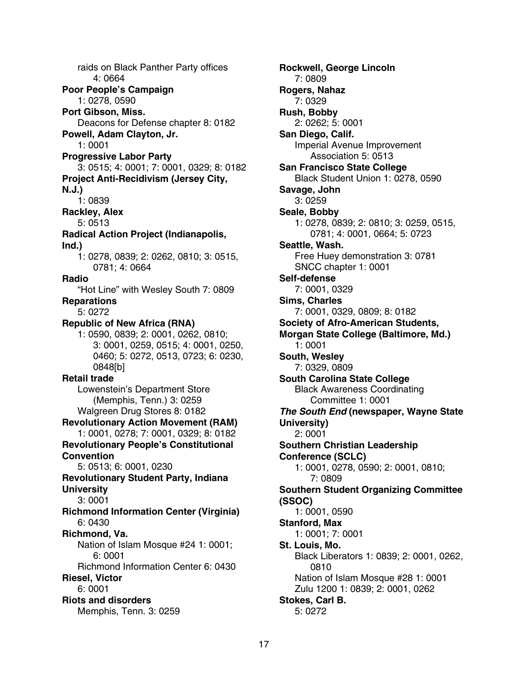raids on Black Panther Party offices 4: 0664 **Poor People's Campaign**  1: 0278, 0590 **Port Gibson, Miss.**  Deacons for Defense chapter 8: 0182 **Powell, Adam Clayton, Jr.**  1: 0001 **Progressive Labor Party**  3: 0515; 4: 0001; 7: 0001, 0329; 8: 0182 **Project Anti-Recidivism (Jersey City, N.J.)**  1: 0839 **Rackley, Alex**  5: 0513 **Radical Action Project (Indianapolis, Ind.)**  1: 0278, 0839; 2: 0262, 0810; 3: 0515, 0781; 4: 0664 **Radio**  "Hot Line" with Wesley South 7: 0809 **Reparations**  5: 0272 **Republic of New Africa (RNA)**  1: 0590, 0839; 2: 0001, 0262, 0810; 3: 0001, 0259, 0515; 4: 0001, 0250, 0460; 5: 0272, 0513, 0723; 6: 0230, 0848[b] **Retail trade**  Lowenstein's Department Store (Memphis, Tenn.) 3: 0259 Walgreen Drug Stores 8: 0182 **Revolutionary Action Movement (RAM)**  1: 0001, 0278; 7: 0001, 0329; 8: 0182 **Revolutionary People's Constitutional Convention**  5: 0513; 6: 0001, 0230 **Revolutionary Student Party, Indiana University**  3: 0001 **Richmond Information Center (Virginia)**  6: 0430 **Richmond, Va.**  Nation of Islam Mosque #24 1: 0001; 6: 0001 Richmond Information Center 6: 0430 **Riesel, Victor**  6: 0001 **Riots and disorders**  Memphis, Tenn. 3: 0259

**Rockwell, George Lincoln**  7: 0809 **Rogers, Nahaz**  7: 0329 **Rush, Bobby**  2: 0262; 5: 0001 **San Diego, Calif.**  Imperial Avenue Improvement Association 5: 0513 **San Francisco State College**  Black Student Union 1: 0278, 0590 **Savage, John**  3: 0259 **Seale, Bobby**  1: 0278, 0839; 2: 0810; 3: 0259, 0515, 0781; 4: 0001, 0664; 5: 0723 **Seattle, Wash.**  Free Huey demonstration 3: 0781 SNCC chapter 1: 0001 **Self-defense**  7: 0001, 0329 **Sims, Charles**  7: 0001, 0329, 0809; 8: 0182 **Society of Afro-American Students, Morgan State College (Baltimore, Md.)**  1: 0001 **South, Wesley**  7: 0329, 0809 **South Carolina State College**  Black Awareness Coordinating Committee 1: 0001 **The South End (newspaper, Wayne State University)**  2: 0001 **Southern Christian Leadership Conference (SCLC)**  1: 0001, 0278, 0590; 2: 0001, 0810; 7: 0809 **Southern Student Organizing Committee (SSOC)**  1: 0001, 0590 **Stanford, Max**  1: 0001; 7: 0001 **St. Louis, Mo.**  Black Liberators 1: 0839; 2: 0001, 0262, 0810 Nation of Islam Mosque #28 1: 0001 Zulu 1200 1: 0839; 2: 0001, 0262 **Stokes, Carl B.**  5: 0272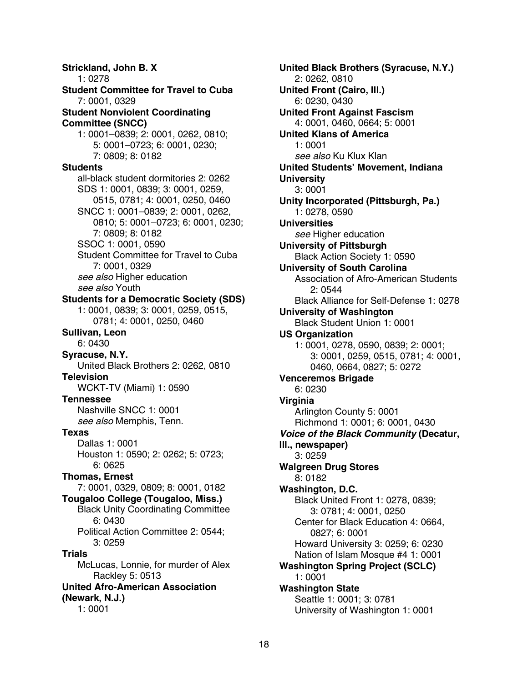**Strickland, John B. X**  1: 0278 **Student Committee for Travel to Cuba**  7: 0001, 0329 **Student Nonviolent Coordinating Committee (SNCC)**  1: 0001–0839; 2: 0001, 0262, 0810; 5: 0001–0723; 6: 0001, 0230; 7: 0809; 8: 0182 **Students**  all-black student dormitories 2: 0262 SDS 1: 0001, 0839; 3: 0001, 0259, 0515, 0781; 4: 0001, 0250, 0460 SNCC 1: 0001–0839; 2: 0001, 0262, 0810; 5: 0001–0723; 6: 0001, 0230; 7: 0809; 8: 0182 SSOC 1: 0001, 0590 Student Committee for Travel to Cuba 7: 0001, 0329 see also Higher education see also Youth **Students for a Democratic Society (SDS)**  1: 0001, 0839; 3: 0001, 0259, 0515, 0781; 4: 0001, 0250, 0460 **Sullivan, Leon**  6: 0430 **Syracuse, N.Y.**  United Black Brothers 2: 0262, 0810 **Television**  WCKT-TV (Miami) 1: 0590 **Tennessee**  Nashville SNCC 1: 0001 see also Memphis, Tenn. **Texas**  Dallas 1: 0001 Houston 1: 0590; 2: 0262; 5: 0723; 6: 0625 **Thomas, Ernest**  7: 0001, 0329, 0809; 8: 0001, 0182 **Tougaloo College (Tougaloo, Miss.)**  Black Unity Coordinating Committee 6: 0430 Political Action Committee 2: 0544; 3: 0259 **Trials**  McLucas, Lonnie, for murder of Alex Rackley 5: 0513 **United Afro-American Association (Newark, N.J.)**  1: 0001

**United Black Brothers (Syracuse, N.Y.)**  2: 0262, 0810 **United Front (Cairo, Ill.)**  6: 0230, 0430 **United Front Against Fascism**  4: 0001, 0460, 0664; 5: 0001 **United Klans of America**  1: 0001 see also Ku Klux Klan **United Students' Movement, Indiana University**  3: 0001 **Unity Incorporated (Pittsburgh, Pa.)**  1: 0278, 0590 **Universities**  see Higher education **University of Pittsburgh**  Black Action Society 1: 0590 **University of South Carolina**  Association of Afro-American Students 2: 0544 Black Alliance for Self-Defense 1: 0278 **University of Washington**  Black Student Union 1: 0001 **US Organization**  1: 0001, 0278, 0590, 0839; 2: 0001; 3: 0001, 0259, 0515, 0781; 4: 0001, 0460, 0664, 0827; 5: 0272 **Venceremos Brigade**  6: 0230 **Virginia**  Arlington County 5: 0001 Richmond 1: 0001; 6: 0001, 0430 **Voice of the Black Community (Decatur, Ill., newspaper)**  3: 0259 **Walgreen Drug Stores**  8: 0182 **Washington, D.C.**  Black United Front 1: 0278, 0839; 3: 0781; 4: 0001, 0250 Center for Black Education 4: 0664, 0827; 6: 0001 Howard University 3: 0259; 6: 0230 Nation of Islam Mosque #4 1: 0001 **Washington Spring Project (SCLC)**  1: 0001 **Washington State**  Seattle 1: 0001; 3: 0781 University of Washington 1: 0001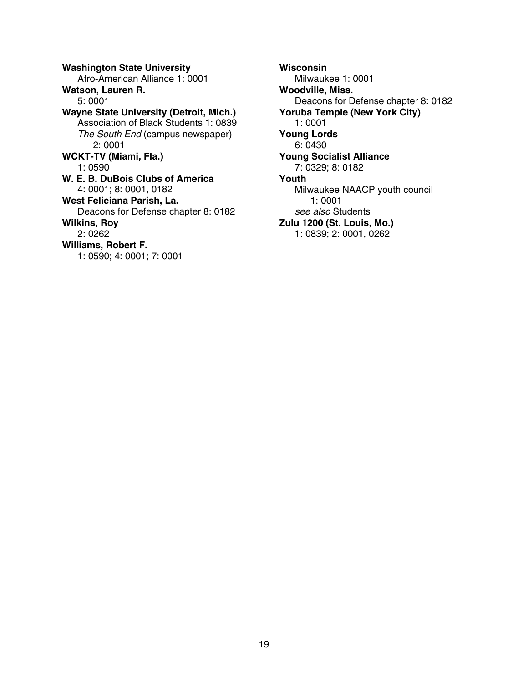**Washington State University**  Afro-American Alliance 1: 0001 **Watson, Lauren R.**  5: 0001 **Wayne State University (Detroit, Mich.)**  Association of Black Students 1: 0839 The South End (campus newspaper) 2: 0001 **WCKT-TV (Miami, Fla.)**  1: 0590 **W. E. B. DuBois Clubs of America**  4: 0001; 8: 0001, 0182 **West Feliciana Parish, La.**  Deacons for Defense chapter 8: 0182 **Wilkins, Roy**  2: 0262 **Williams, Robert F.**  1: 0590; 4: 0001; 7: 0001

**Wisconsin**  Milwaukee 1: 0001 **Woodville, Miss.**  Deacons for Defense chapter 8: 0182 **Yoruba Temple (New York City)**  1: 0001 **Young Lords**  6: 0430 **Young Socialist Alliance**  7: 0329; 8: 0182 **Youth**  Milwaukee NAACP youth council 1: 0001 see also Students **Zulu 1200 (St. Louis, Mo.)**  1: 0839; 2: 0001, 0262